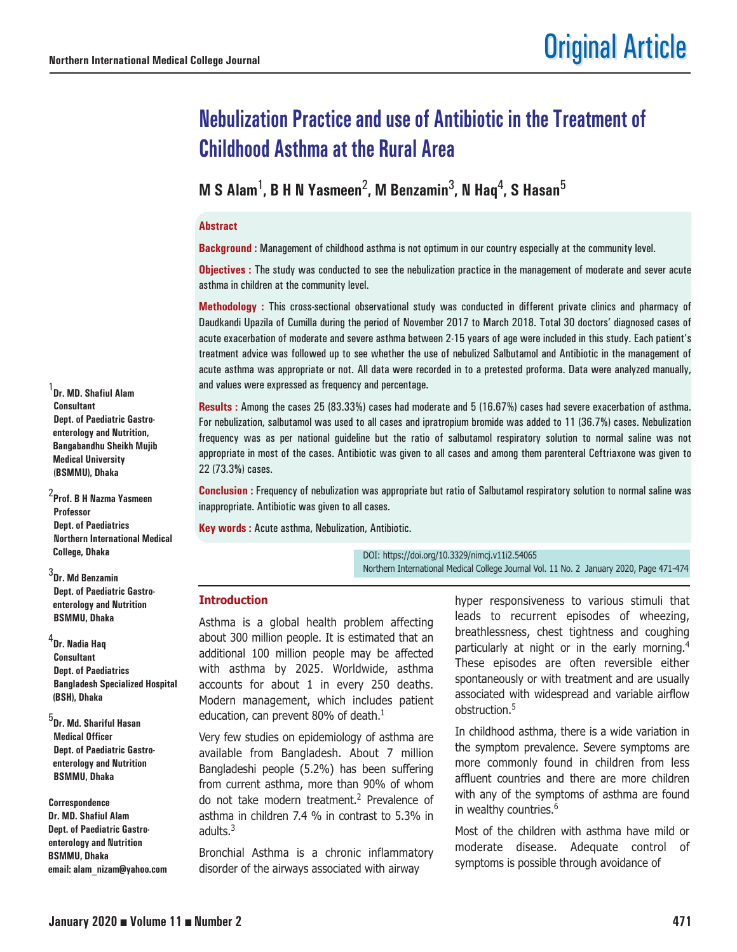# **Nebulization Practice and use of Antibiotic in the Treatment of Childhood Asthma at the Rural Area**

**M S Alam**1**, B H N Yasmeen**2**, M Benzamin**3**, N Haq**4**, S Hasan**<sup>5</sup>

#### **Abstract**

**Background :** Management of childhood asthma is not optimum in our country especially at the community level.

**Objectives :** The study was conducted to see the nebulization practice in the management of moderate and sever acute asthma in children at the community level.

**Methodology :** This cross-sectional observational study was conducted in different private clinics and pharmacy of Daudkandi Upazila of Cumilla during the period of November 2017 to March 2018. Total 30 doctors' diagnosed cases of acute exacerbation of moderate and severe asthma between 2-15 years of age were included in this study. Each patient's treatment advice was followed up to see whether the use of nebulized Salbutamol and Antibiotic in the management of acute asthma was appropriate or not. All data were recorded in to a pretested proforma. Data were analyzed manually, and values were expressed as frequency and percentage.

**Results :** Among the cases 25 (83.33%) cases had moderate and 5 (16.67%) cases had severe exacerbation of asthma. For nebulization, salbutamol was used to all cases and ipratropium bromide was added to 11 (36.7%) cases. Nebulization frequency was as per national guideline but the ratio of salbutamol respiratory solution to normal saline was not appropriate in most of the cases. Antibiotic was given to all cases and among them parenteral Ceftriaxone was given to 22 (73.3%) cases.

**Conclusion :** Frequency of nebulization was appropriate but ratio of Salbutamol respiratory solution to normal saline was inappropriate. Antibiotic was given to all cases.

**Key words :** Acute asthma, Nebulization, Antibiotic.

DOI: https://doi.org/10.3329/nimcj.v11i2.54065 Northern International Medical College Journal Vol. 11 No. 2 January 2020, Page 471-474

#### **Introduction**

Asthma is a global health problem affecting about 300 million people. It is estimated that an additional 100 million people may be affected with asthma by 2025. Worldwide, asthma accounts for about 1 in every 250 deaths. Modern management, which includes patient education, can prevent 80% of death. $<sup>1</sup>$ </sup>

Very few studies on epidemiology of asthma are available from Bangladesh. About 7 million Bangladeshi people (5.2%) has been suffering from current asthma, more than 90% of whom do not take modern treatment.<sup>2</sup> Prevalence of asthma in children 7.4 % in contrast to 5.3% in adults.<sup>3</sup>

Bronchial Asthma is a chronic inflammatory disorder of the airways associated with airway

hyper responsiveness to various stimuli that leads to recurrent episodes of wheezing, breathlessness, chest tightness and coughing particularly at night or in the early morning.<sup>4</sup> These episodes are often reversible either spontaneously or with treatment and are usually associated with widespread and variable airflow obstruction.<sup>5</sup>

In childhood asthma, there is a wide variation in the symptom prevalence. Severe symptoms are more commonly found in children from less affluent countries and there are more children with any of the symptoms of asthma are found in wealthy countries.<sup>6</sup>

Most of the children with asthma have mild or moderate disease. Adequate control of symptoms is possible through avoidance of

1 **Dr. MD. Shafiul Alam Consultant Dept. of Paediatric Gastroenterology and Nutrition, Bangabandhu Sheikh Mujib Medical University (BSMMU), Dhaka** 

2 **Prof. B H Nazma Yasmeen Professor Dept. of Paediatrics Northern International Medical College, Dhaka** 

3 **Dr. Md Benzamin Dept. of Paediatric Gastroenterology and Nutrition BSMMU, Dhaka**

4 **Dr. Nadia Haq Consultant Dept. of Paediatrics Bangladesh Specialized Hospital (BSH), Dhaka**

5 **Dr. Md. Shariful Hasan Medical Officer Dept. of Paediatric Gastroenterology and Nutrition BSMMU, Dhaka**

**Correspondence Dr. MD. Shafiul Alam Dept. of Paediatric Gastroenterology and Nutrition BSMMU, Dhaka email: alam\_nizam@yahoo.com**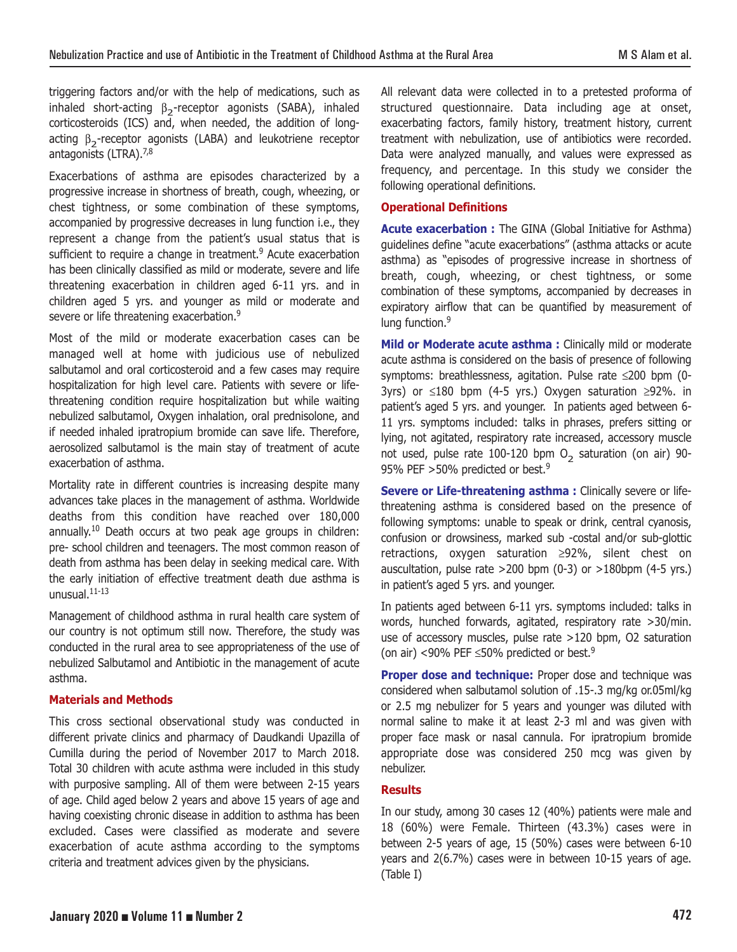triggering factors and/or with the help of medications, such as inhaled short-acting  $\beta_2$ -receptor agonists (SABA), inhaled corticosteroids (ICS) and, when needed, the addition of longacting  $β_2$ -receptor agonists (LABA) and leukotriene receptor antagonists (LTRA).<sup>7,8</sup>

Exacerbations of asthma are episodes characterized by a progressive increase in shortness of breath, cough, wheezing, or chest tightness, or some combination of these symptoms, accompanied by progressive decreases in lung function i.e., they represent a change from the patient's usual status that is sufficient to require a change in treatment.<sup>9</sup> Acute exacerbation has been clinically classified as mild or moderate, severe and life threatening exacerbation in children aged 6-11 yrs. and in children aged 5 yrs. and younger as mild or moderate and severe or life threatening exacerbation.<sup>9</sup>

Most of the mild or moderate exacerbation cases can be managed well at home with judicious use of nebulized salbutamol and oral corticosteroid and a few cases may require hospitalization for high level care. Patients with severe or lifethreatening condition require hospitalization but while waiting nebulized salbutamol, Oxygen inhalation, oral prednisolone, and if needed inhaled ipratropium bromide can save life. Therefore, aerosolized salbutamol is the main stay of treatment of acute exacerbation of asthma.

Mortality rate in different countries is increasing despite many advances take places in the management of asthma. Worldwide deaths from this condition have reached over 180,000 annually.<sup>10</sup> Death occurs at two peak age groups in children: pre- school children and teenagers. The most common reason of death from asthma has been delay in seeking medical care. With the early initiation of effective treatment death due asthma is unusual.11-13

Management of childhood asthma in rural health care system of our country is not optimum still now. Therefore, the study was conducted in the rural area to see appropriateness of the use of nebulized Salbutamol and Antibiotic in the management of acute asthma.

# **Materials and Methods**

This cross sectional observational study was conducted in different private clinics and pharmacy of Daudkandi Upazilla of Cumilla during the period of November 2017 to March 2018. Total 30 children with acute asthma were included in this study with purposive sampling. All of them were between 2-15 years of age. Child aged below 2 years and above 15 years of age and having coexisting chronic disease in addition to asthma has been excluded. Cases were classified as moderate and severe exacerbation of acute asthma according to the symptoms criteria and treatment advices given by the physicians.

All relevant data were collected in to a pretested proforma of structured questionnaire. Data including age at onset, exacerbating factors, family history, treatment history, current treatment with nebulization, use of antibiotics were recorded. Data were analyzed manually, and values were expressed as frequency, and percentage. In this study we consider the following operational definitions.

## **Operational Definitions**

**Acute exacerbation :** The GINA (Global Initiative for Asthma) guidelines define "acute exacerbations" (asthma attacks or acute asthma) as "episodes of progressive increase in shortness of breath, cough, wheezing, or chest tightness, or some combination of these symptoms, accompanied by decreases in expiratory airflow that can be quantified by measurement of lung function.<sup>9</sup>

**Mild or Moderate acute asthma :** Clinically mild or moderate acute asthma is considered on the basis of presence of following symptoms: breathlessness, agitation. Pulse rate ≤200 bpm (0- 3yrs) or ≤180 bpm (4-5 yrs.) Oxygen saturation ≥92%. in patient's aged 5 yrs. and younger. In patients aged between 6- 11 yrs. symptoms included: talks in phrases, prefers sitting or lying, not agitated, respiratory rate increased, accessory muscle not used, pulse rate 100-120 bpm  $O<sub>2</sub>$  saturation (on air) 90-95% PEF >50% predicted or best.<sup>9</sup>

**Severe or Life-threatening asthma :** Clinically severe or lifethreatening asthma is considered based on the presence of following symptoms: unable to speak or drink, central cyanosis, confusion or drowsiness, marked sub -costal and/or sub-glottic retractions, oxygen saturation ≥92%, silent chest on auscultation, pulse rate >200 bpm (0-3) or >180bpm (4-5 yrs.) in patient's aged 5 yrs. and younger.

In patients aged between 6-11 yrs. symptoms included: talks in words, hunched forwards, agitated, respiratory rate >30/min. use of accessory muscles, pulse rate >120 bpm, O2 saturation (on air) <90% PEF  $\leq$ 50% predicted or best.<sup>9</sup>

**Proper dose and technique:** Proper dose and technique was considered when salbutamol solution of .15-.3 mg/kg or.05ml/kg or 2.5 mg nebulizer for 5 years and younger was diluted with normal saline to make it at least 2-3 ml and was given with proper face mask or nasal cannula. For ipratropium bromide appropriate dose was considered 250 mcg was given by nebulizer.

## **Results**

In our study, among 30 cases 12 (40%) patients were male and 18 (60%) were Female. Thirteen (43.3%) cases were in between 2-5 years of age, 15 (50%) cases were between 6-10 years and 2(6.7%) cases were in between 10-15 years of age. (Table I)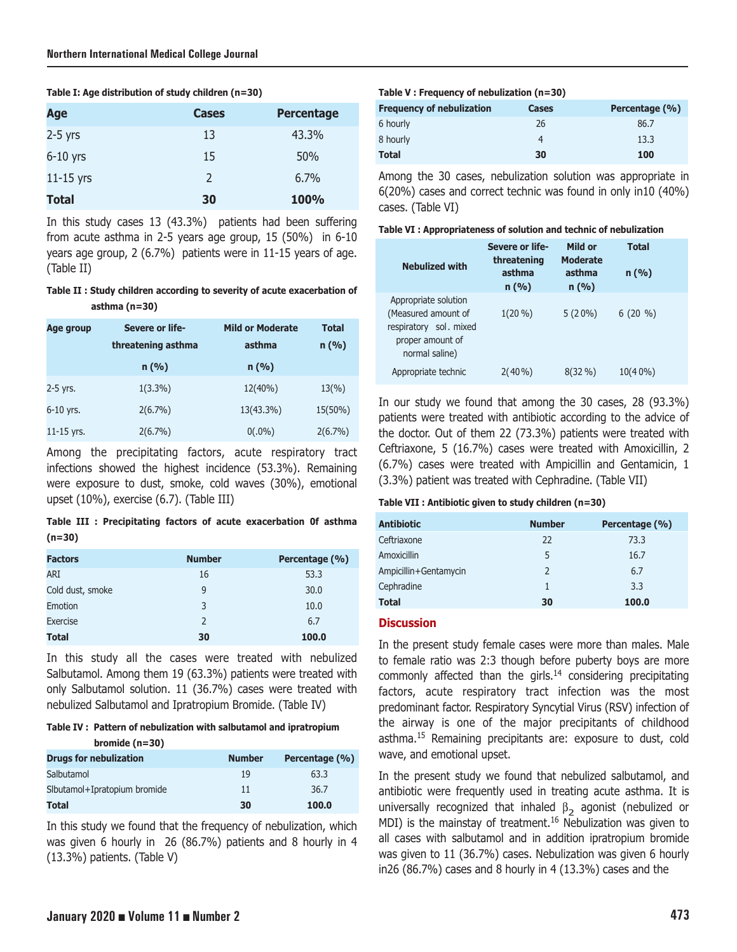|  | Table I: Age distribution of study children (n=30) |  |  |  |
|--|----------------------------------------------------|--|--|--|
|--|----------------------------------------------------|--|--|--|

| Age          | <b>Cases</b>   | <b>Percentage</b> |
|--------------|----------------|-------------------|
| $2-5$ yrs    | 13             | 43.3%             |
| $6-10$ yrs   | 15             | 50%               |
| $11-15$ yrs  | $\overline{2}$ | 6.7%              |
| <b>Total</b> | 30             | 100%              |

In this study cases 13 (43.3%) patients had been suffering from acute asthma in 2-5 years age group, 15 (50%) in 6-10 years age group, 2 (6.7%) patients were in 11-15 years of age. (Table II)

**Table II : Study children according to severity of acute exacerbation of asthma (n=30)**

| Age group    | Severe or life-    | <b>Mild or Moderate</b> | <b>Total</b>    |
|--------------|--------------------|-------------------------|-----------------|
|              | threatening asthma | asthma                  | n(%)            |
|              | n(%)               | n(%)                    |                 |
| 2-5 yrs.     | $1(3.3\%)$         | $12(40\%)$              | $13\frac{9}{6}$ |
| $6-10$ yrs.  | $2(6.7\%)$         | 13(43.3%)               | 15(50%)         |
| $11-15$ yrs. | $2(6.7\%)$         | $0(.0\%)$               | $2(6.7\%)$      |

Among the precipitating factors, acute respiratory tract infections showed the highest incidence (53.3%). Remaining were exposure to dust, smoke, cold waves (30%), emotional upset (10%), exercise (6.7). (Table III)

**Table III : Precipitating factors of acute exacerbation 0f asthma (n=30)**

| <b>Factors</b>   | <b>Number</b> | Percentage (%) |
|------------------|---------------|----------------|
| ARI              | 16            | 53.3           |
| Cold dust, smoke | 9             | 30.0           |
| Emotion          | 3             | 10.0           |
| <b>Exercise</b>  | 2             | 6.7            |
| <b>Total</b>     | 30            | 100.0          |

In this study all the cases were treated with nebulized Salbutamol. Among them 19 (63.3%) patients were treated with only Salbutamol solution. 11 (36.7%) cases were treated with nebulized Salbutamol and Ipratropium Bromide. (Table IV)

**Table IV : Pattern of nebulization with salbutamol and ipratropium bromide (n=30)**

| M                             |               |                |
|-------------------------------|---------------|----------------|
| <b>Drugs for nebulization</b> | <b>Number</b> | Percentage (%) |
| Salbutamol                    | 19            | 63.3           |
| Slbutamol+Ipratopium bromide  | 11            | 36.7           |
| <b>Total</b>                  | 30            | 100.0          |

In this study we found that the frequency of nebulization, which was given 6 hourly in 26 (86.7%) patients and 8 hourly in 4 (13.3%) patients. (Table V)

## **Table V : Frequency of nebulization (n=30)**

| <b>Frequency of nebulization</b> | Cases | Percentage (%) |
|----------------------------------|-------|----------------|
| 6 hourly                         | 26    | 86.7           |
| 8 hourly                         | 4     | 13.3           |
| <b>Total</b>                     | 30    | 100            |

Among the 30 cases, nebulization solution was appropriate in 6(20%) cases and correct technic was found in only in10 (40%) cases. (Table VI)

| Severe or life-<br>Mild or Total<br>Mebulized with threatening Moderate<br>asther asther |  |
|------------------------------------------------------------------------------------------|--|
|                                                                                          |  |
|                                                                                          |  |
|                                                                                          |  |
|                                                                                          |  |
| Appropriate solution<br>(Measured amount of $1(20\%)$ $5(20\%)$ $6(20\%)$                |  |
|                                                                                          |  |
|                                                                                          |  |
|                                                                                          |  |
|                                                                                          |  |
| Appropriate technic 2(40%) 8(32%) 10(40%)                                                |  |
|                                                                                          |  |

In our study we found that among the 30 cases, 28 (93.3%) patients were treated with antibiotic according to the advice of the doctor. Out of them 22 (73.3%) patients were treated with Ceftriaxone, 5 (16.7%) cases were treated with Amoxicillin, 2 (6.7%) cases were treated with Ampicillin and Gentamicin, 1 (3.3%) patient was treated with Cephradine. (Table VII)

|  |  | Table VII : Antibiotic given to study children (n=30) |  |  |
|--|--|-------------------------------------------------------|--|--|
|--|--|-------------------------------------------------------|--|--|

| <b>Antibiotic</b>     | <b>Number</b> | Percentage (%) |
|-----------------------|---------------|----------------|
| Ceftriaxone           | 22            | 73.3           |
| <b>Amoxicillin</b>    | 5             | 16.7           |
| Ampicillin+Gentamycin | $\mathcal{P}$ | 6.7            |
| Cephradine            |               | 3.3            |
| <b>Total</b>          | 30            | 100.0          |

## **Discussion**

In the present study female cases were more than males. Male to female ratio was 2:3 though before puberty boys are more commonly affected than the girls.<sup>14</sup> considering precipitating factors, acute respiratory tract infection was the most predominant factor. Respiratory Syncytial Virus (RSV) infection of the airway is one of the major precipitants of childhood asthma.15 Remaining precipitants are: exposure to dust, cold wave, and emotional upset.

In the present study we found that nebulized salbutamol, and antibiotic were frequently used in treating acute asthma. It is universally recognized that inhaled  $β_2$  agonist (nebulized or MDI) is the mainstay of treatment.<sup>16</sup> Nebulization was given to all cases with salbutamol and in addition ipratropium bromide was given to 11 (36.7%) cases. Nebulization was given 6 hourly in26 (86.7%) cases and 8 hourly in 4 (13.3%) cases and the